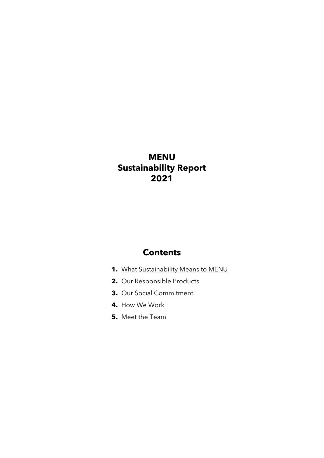## **MENU Sustainability Report 2021**

## **Contents**

- **1.** What Sustainability Means to MENU
- **2.** Our Responsible Products
- **3.** Our Social Commitment
- **4.** How We Work
- **5.** Meet the Team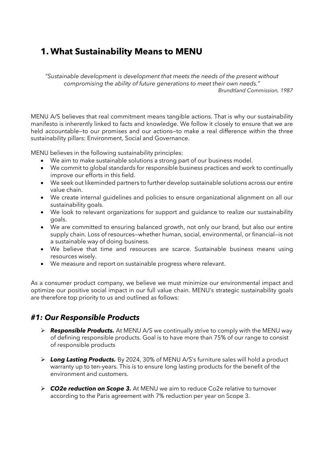## **1. What Sustainability Means to MENU**

*"Sustainable development is development that meets the needs of the present without compromising the ability of future generations to meet their own needs." Brundtland Commission, 1987*

MENU A/S believes that real commitment means tangible actions. That is why our sustainability manifesto is inherently linked to facts and knowledge. We follow it closely to ensure that we are held accountable—to our promises and our actions—to make a real difference within the three sustainability pillars: Environment, Social and Governance.

MENU believes in the following sustainability principles:

- We aim to make sustainable solutions a strong part of our business model.
- We commit to global standards for responsible business practices and work to continually improve our efforts in this field.
- We seek out likeminded partners to further develop sustainable solutions across our entire value chain.
- We create internal guidelines and policies to ensure organizational alignment on all our sustainability goals.
- We look to relevant organizations for support and guidance to realize our sustainability goals.
- We are committed to ensuring balanced growth, not only our brand, but also our entire supply chain. Loss of resources—whether human, social, environmental, or financial—is not a sustainable way of doing business.
- We believe that time and resources are scarce. Sustainable business means using resources wisely.
- We measure and report on sustainable progress where relevant.

As a consumer product company, we believe we must minimize our environmental impact and optimize our positive social impact in our full value chain. MENU's strategic sustainability goals are therefore top priority to us and outlined as follows:

## *#1: Our Responsible Products*

- ➢ *Responsible Products.* At MENU A/S we continually strive to comply with the MENU way of defining responsible products. Goal is to have more than 75% of our range to consist of responsible products
- ➢ *Long Lasting Products.* By 2024, 30% of MENU A/S's furniture sales will hold a product warranty up to ten-years. This is to ensure long lasting products for the benefit of the environment and customers.
- ➢ *CO2e reduction on Scope 3.* At MENU we aim to reduce Co2e relative to turnover according to the Paris agreement with 7% reduction per year on Scope 3.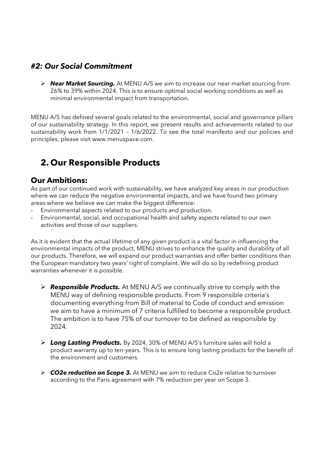## *#2: Our Social Commitment*

➢ *Near Market Sourcing.* At MENU A/S we aim to increase our near market sourcing from 26% to 39% within 2024. This is to ensure optimal social working conditions as well as minimal environmental impact from transportation.

MENU A/S has defined several goals related to the environmental, social and governance pillars of our sustainability strategy. In this report, we present results and achievements related to our sustainability work from 1/1/2021 – 1/6/2022. To see the total manifesto and our policies and principles, please visit [www.menuspace.com.](http://www.menuspace.com/)

# **2. Our Responsible Products**

## **Our Ambitions:**

As part of our continued work with sustainability, we have analyzed key areas in our production where we can reduce the negative environmental impacts, and we have found two primary areas where we believe we can make the biggest difference:

- Environmental aspects related to our products and production.
- Environmental, social, and occupational health and safety aspects related to our own activities and those of our suppliers.

As it is evident that the actual lifetime of any given product is a vital factor in influencing the environmental impacts of the product, MENU strives to enhance the quality and durability of all our products. Therefore, we will expand our product warranties and offer better conditions than the European mandatory two years' right of complaint. We will do so by redefining product warranties whenever it is possible.

- ➢ *Responsible Products.* At MENU A/S we continually strive to comply with the MENU way of defining responsible products. From 9 responsible criteria's documenting everything from Bill of material to Code of conduct and emission we aim to have a minimum of 7 criteria fulfilled to become a responsible product. The ambition is to have 75% of our turnover to be defined as responsible by 2024.
- ➢ *Long Lasting Products.* By 2024, 30% of MENU A/S's furniture sales will hold a product warranty up to ten-years. This is to ensure long lasting products for the benefit of the environment and customers.
- ➢ *CO2e reduction on Scope 3.* At MENU we aim to reduce Co2e relative to turnover according to the Paris agreement with 7% reduction per year on Scope 3.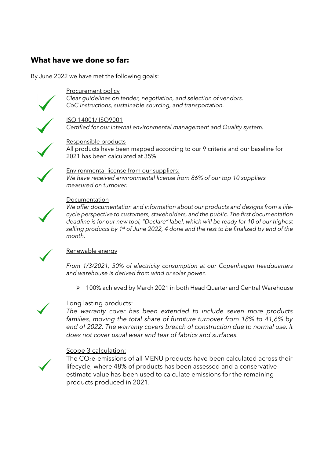## **What have we done so far:**

By June 2022 we have met the following goals:



Procurement policy *Clear guidelines on tender, negotiation, and selection of vendors. CoC instructions, sustainable sourcing, and transportation.*

#### ISO 14001/ ISO9001

*Certified for our internal environmental management and Quality system.*



Responsible products All products have been mapped according to our 9 criteria and our baseline for 2021 has been calculated at 35%.



#### Environmental license from our suppliers: *We have received environmental license from 86% of our top 10 suppliers measured on turnover.*



#### **Documentation**

*We offer documentation and information about our products and designs from a lifecycle perspective to customers, stakeholders, and the public. The first documentation deadline is for our new tool, "Declare" label, which will be ready for 10 of our highest selling products by 1 st of June 2022, 4 done and the rest to be finalized by end of the month.*



#### Renewable energy

*From 1/3/2021, 50% of electricity consumption at our Copenhagen headquarters and warehouse is derived from wind or solar power.* 

➢ 100% achieved by March 2021 in both Head Quarter and Central Warehouse



#### Long lasting products:

*The warranty cover has been extended to include seven more products families, moving the total share of furniture turnover from 18% to 41,6% by end of 2022. The warranty covers breach of construction due to normal use. It does not cover usual wear and tear of fabrics and surfaces.*

#### Scope 3 calculation:



The CO2e-emissions of all MENU products have been calculated across their lifecycle, where 48% of products has been assessed and a conservative estimate value has been used to calculate emissions for the remaining products produced in 2021.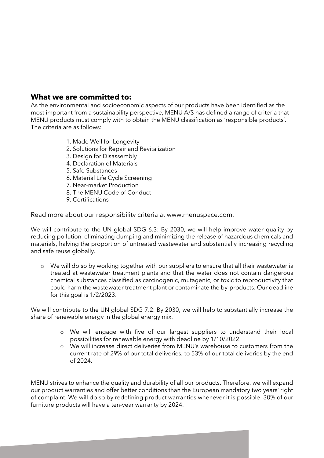## **What we are committed to:**

As the environmental and socioeconomic aspects of our products have been identified as the most important from a sustainability perspective, MENU A/S has defined a range of criteria that MENU products must comply with to obtain the MENU classification as 'responsible products'. The criteria are as follows:

- 1. Made Well for Longevity
- 2. Solutions for Repair and Revitalization
- 3. Design for Disassembly
- 4. Declaration of Materials
- 5. Safe Substances
- 6. Material Life Cycle Screening
- 7. Near-market Production
- 8. The MENU Code of Conduct
- 9. Certifications

Read more about our responsibility criteria at www.menuspace.com.

We will contribute to the UN global SDG 6.3: By 2030, we will help improve water quality by reducing pollution, eliminating dumping and minimizing the release of hazardous chemicals and materials, halving the proportion of untreated wastewater and substantially increasing recycling and safe reuse globally.

o We will do so by working together with our suppliers to ensure that all their wastewater is treated at wastewater treatment plants and that the water does not contain dangerous chemical substances classified as carcinogenic, mutagenic, or toxic to reproductivity that could harm the wastewater treatment plant or contaminate the by-products. Our deadline for this goal is 1/2/2023.

We will contribute to the UN global SDG 7.2: By 2030, we will help to substantially increase the share of renewable energy in the global energy mix.

- o We will engage with five of our largest suppliers to understand their local possibilities for renewable energy with deadline by 1/10/2022.
- o We will increase direct deliveries from MENU's warehouse to customers from the current rate of 29% of our total deliveries, to 53% of our total deliveries by the end of 2024.

MENU strives to enhance the quality and durability of all our products. Therefore, we will expand our product warranties and offer better conditions than the European mandatory two years' right of complaint. We will do so by redefining product warranties whenever it is possible. 30% of our furniture products will have a ten-year warranty by 2024.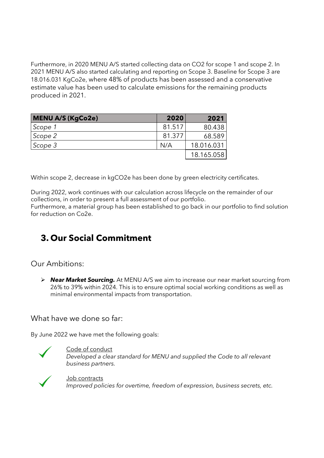Furthermore, in 2020 MENU A/S started collecting data on CO2 for scope 1 and scope 2. In 2021 MENU A/S also started calculating and reporting on Scope 3. Baseline for Scope 3 are 18.016.031 KgCo2e, where 48% of products has been assessed and a conservative estimate value has been used to calculate emissions for the remaining products produced in 2021.

| <b>MENU A/S (KgCo2e)</b> | 2020   | 2021       |
|--------------------------|--------|------------|
| Scope 1                  | 81.517 | 80.438     |
| Scope 2                  | 81.377 | 68.589     |
| Scope 3                  | N/A    | 18.016.031 |
|                          |        | 18.165.058 |

Within scope 2, decrease in kgCO2e has been done by green electricity certificates.

During 2022, work continues with our calculation across lifecycle on the remainder of our collections, in order to present a full assessment of our portfolio.

Furthermore, a material group has been established to go back in our portfolio to find solution for reduction on Co2e.

# **3. Our Social Commitment**

## Our Ambitions:

➢ *Near Market Sourcing.* At MENU A/S we aim to increase our near market sourcing from 26% to 39% within 2024. This is to ensure optimal social working conditions as well as minimal environmental impacts from transportation.

## What have we done so far:

By June 2022 we have met the following goals:



### Code of conduct

*Developed a clear standard for MENU and supplied the Code to all relevant business partners.*



Job contracts *Improved policies for overtime, freedom of expression, business secrets, etc.*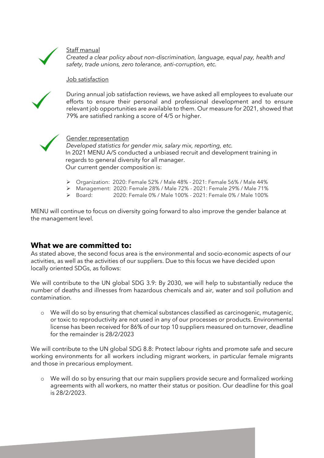

#### Staff manual

*Created a clear policy about non-discrimination, language, equal pay, health and safety, trade unions, zero tolerance, anti-corruption, etc.*

#### Job satisfaction



During annual job satisfaction reviews, we have asked all employees to evaluate our efforts to ensure their personal and professional development and to ensure relevant job opportunities are available to them. Our measure for 2021, showed that 79% are satisfied ranking a score of 4/5 or higher.



#### Gender representation

*Developed statistics for gender mix, salary mix, reporting, etc.* In 2021 MENU A/S conducted a unbiased recruit and development training in regards to general diversity for all manager. Our current gender composition is:

- ➢ Organization: 2020: Female 52% / Male 48% 2021: Female 56% / Male 44%
- ➢ Management: 2020: Female 28% / Male 72% 2021: Female 29% / Male 71%
- ➢ Board: 2020: Female 0% / Male 100% 2021: Female 0% / Male 100%

MENU will continue to focus on diversity going forward to also improve the gender balance at the management level.

## **What we are committed to:**

As stated above, the second focus area is the environmental and socio-economic aspects of our activities, as well as the activities of our suppliers. Due to this focus we have decided upon locally oriented SDGs, as follows:

We will contribute to the UN global SDG 3.9: By 2030, we will help to substantially reduce the number of deaths and illnesses from hazardous chemicals and air, water and soil pollution and contamination.

o We will do so by ensuring that chemical substances classified as carcinogenic, mutagenic, or toxic to reproductivity are not used in any of our processes or products. Environmental license has been received for 86% of our top 10 suppliers measured on turnover, deadline for the remainder is 28/2/2023

We will contribute to the UN global SDG 8.8: Protect labour rights and promote safe and secure working environments for all workers including migrant workers, in particular female migrants and those in precarious employment.

o We will do so by ensuring that our main suppliers provide secure and formalized working agreements with all workers, no matter their status or position. Our deadline for this goal is 28/2/2023.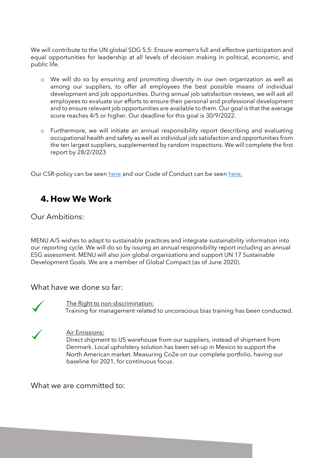We will contribute to the UN global SDG 5,5: Ensure women's full and effective participation and equal opportunities for leadership at all levels of decision making in political, economic, and public life.

- o We will do so by ensuring and promoting diversity in our own organization as well as among our suppliers, to offer all employees the best possible means of individual development and job opportunities. During annual job satisfaction reviews, we will ask all employees to evaluate our efforts to ensure their personal and professional development and to ensure relevant job opportunities are available to them. Our goal is that the average score reaches 4/5 or higher. Our deadline for this goal is 30/9/2022.
- o Furthermore, we will initiate an annual responsibility report describing and evaluating occupational health and safety as well as individual job satisfaction and opportunities from the ten largest suppliers, supplemented by random inspections. We will complete the first report by 28/2/2023

Our CSR-policy can be seen [here](https://presscloud.com/file/86/864567471468362/MENU_CSR_19.pdf) and our Code of Conduct can be see[n here.](https://presscloud.com/file/39/395636171608727/MENU__code_of_conduct.pdf)

# **4. How We Work**

Our Ambitions:

MENU A/S wishes to adapt to sustainable practices and integrate sustainability information into our reporting cycle. We will do so by issuing an annual responsibility report including an annual ESG assessment. MENU will also join global organizations and support UN 17 Sustainable Development Goals. We are a member of Global Compact (as of June 2020).

What have we done so far:



The Right to non-discrimination:

Training for management related to unconscious bias training has been conducted.



#### Air Emissions:

Direct shipment to US warehouse from our suppliers, instead of shipment from Denmark. Local upholstery solution has been set-up in Mexico to support the North American market. Measuring Co2e on our complete portfolio, having our baseline for 2021, for continuous focus.

What we are committed to: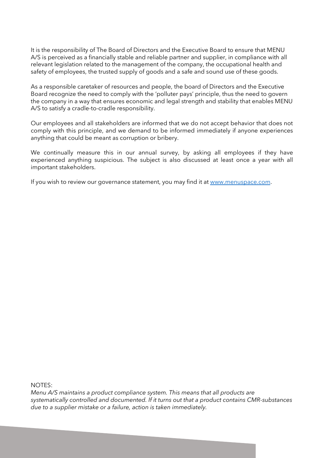It is the responsibility of The Board of Directors and the Executive Board to ensure that MENU A/S is perceived as a financially stable and reliable partner and supplier, in compliance with all relevant legislation related to the management of the company, the occupational health and safety of employees, the trusted supply of goods and a safe and sound use of these goods.

As a responsible caretaker of resources and people, the board of Directors and the Executive Board recognize the need to comply with the 'polluter pays' principle, thus the need to govern the company in a way that ensures economic and legal strength and stability that enables MENU A/S to satisfy a cradle-to-cradle responsibility.

Our employees and all stakeholders are informed that we do not accept behavior that does not comply with this principle, and we demand to be informed immediately if anyone experiences anything that could be meant as corruption or bribery.

We continually measure this in our annual survey, by asking all employees if they have experienced anything suspicious. The subject is also discussed at least once a year with all important stakeholders.

If you wish to review our governance statement, you may find it at [www.menuspace.com.](http://www.menuspace.com/)

NOTES:

*Menu A/S maintains a product compliance system. This means that all products are systematically controlled and documented. If it turns out that a product contains CMR-substances due to a supplier mistake or a failure, action is taken immediately.*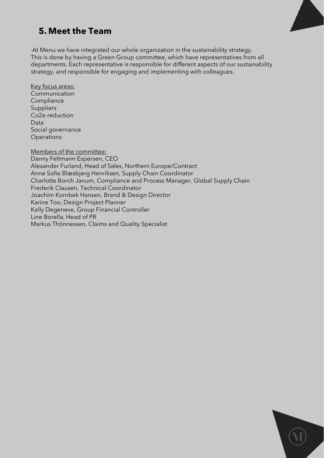

# **5. Meet the Team**

At Menu we have integrated our whole organization in the sustainability strategy. This is done by having a Green Group committee, which have representatives from all departments. Each representative is responsible for different aspects of our sustainability strategy, and responsible for engaging and implementing with colleagues.

Key focus areas: Communication **Compliance** Suppliers Co2e reduction Data Social governance **Operations** 

Members of the committee: Danny Feltmann Espersen, CEO Alexander Furland, Head of Sales, Northern Europe/Contract Anne Sofie Blæsbjerg Henriksen, Supply Chain Coordinator Charlotte Borch Janum, Compliance and Process Manager, Global Supply Chain Frederik Clausen, Technical Coordinator Joachim Kornbek Hansen, Brand & Design Director Karine Too, Design Project Planner Kelly Degeneve, Group Financial Controller Line Borella, Head of PR Markus Thönnessen, Claims and Quality Specialist